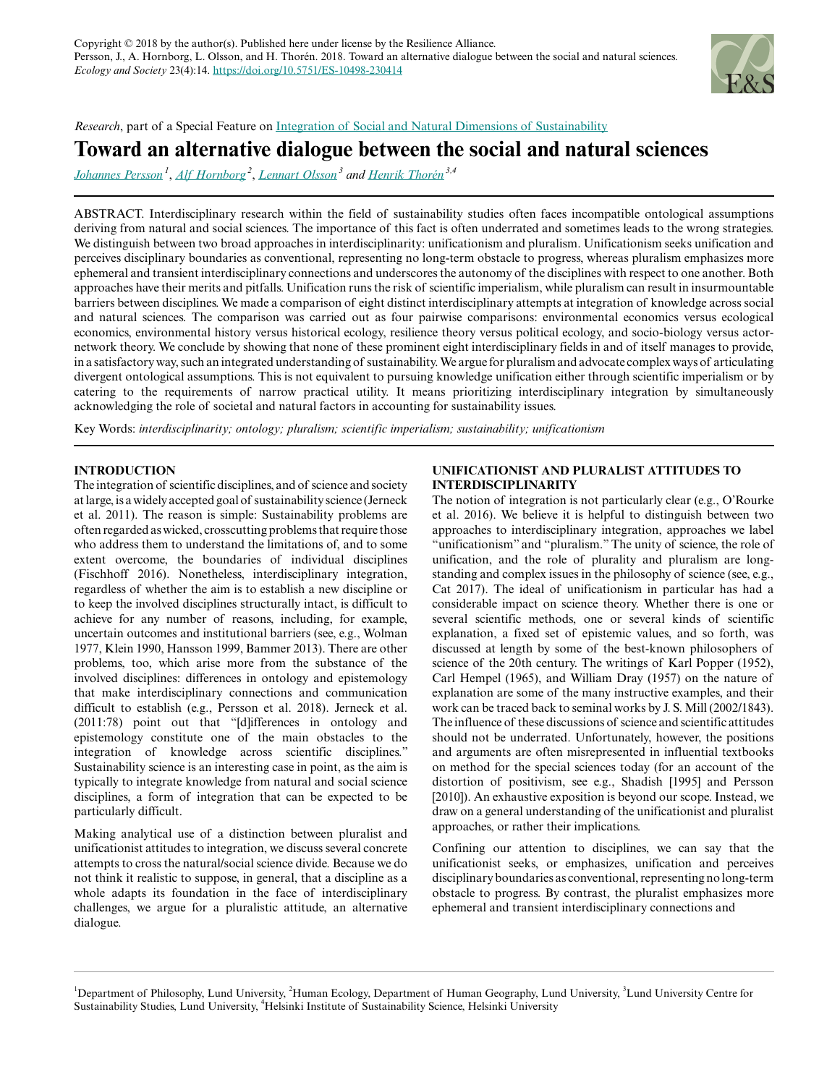

*Research*, part of a Special Feature on [Integration of Social and Natural Dimensions of Sustainability](https://www.ecologyandsociety.org/viewissue.php?sf=135)

# **Toward an alternative dialogue between the social and natural sciences**

*[Johannes Persson](mailto:johannes.persson@fil.lu.se)<sup>1</sup>* , *[Alf Hornborg](mailto:alf.hornborg@hek.lu.se)<sup>2</sup>* , *[Lennart Olsson](mailto:lennart.olsson@lucsus.lu.se)<sup>3</sup> and [Henrik Thorén](mailto:henrik.thoren@helsinki.fi) 3,4*

ABSTRACT. Interdisciplinary research within the field of sustainability studies often faces incompatible ontological assumptions deriving from natural and social sciences. The importance of this fact is often underrated and sometimes leads to the wrong strategies. We distinguish between two broad approaches in interdisciplinarity: unificationism and pluralism. Unificationism seeks unification and perceives disciplinary boundaries as conventional, representing no long-term obstacle to progress, whereas pluralism emphasizes more ephemeral and transient interdisciplinary connections and underscores the autonomy of the disciplines with respect to one another. Both approaches have their merits and pitfalls. Unification runs the risk of scientific imperialism, while pluralism can result in insurmountable barriers between disciplines. We made a comparison of eight distinct interdisciplinary attempts at integration of knowledge across social and natural sciences. The comparison was carried out as four pairwise comparisons: environmental economics versus ecological economics, environmental history versus historical ecology, resilience theory versus political ecology, and socio-biology versus actornetwork theory. We conclude by showing that none of these prominent eight interdisciplinary fields in and of itself manages to provide, in a satisfactory way, such an integrated understanding of sustainability. We argue for pluralism and advocate complex ways of articulating divergent ontological assumptions. This is not equivalent to pursuing knowledge unification either through scientific imperialism or by catering to the requirements of narrow practical utility. It means prioritizing interdisciplinary integration by simultaneously acknowledging the role of societal and natural factors in accounting for sustainability issues.

Key Words: *interdisciplinarity; ontology; pluralism; scientific imperialism; sustainability; unificationism*

# **INTRODUCTION**

The integration of scientific disciplines, and of science and society at large, is a widely accepted goal of sustainability science (Jerneck et al. 2011). The reason is simple: Sustainability problems are often regarded as wicked, crosscutting problems that require those who address them to understand the limitations of, and to some extent overcome, the boundaries of individual disciplines (Fischhoff 2016). Nonetheless, interdisciplinary integration, regardless of whether the aim is to establish a new discipline or to keep the involved disciplines structurally intact, is difficult to achieve for any number of reasons, including, for example, uncertain outcomes and institutional barriers (see, e.g., Wolman 1977, Klein 1990, Hansson 1999, Bammer 2013). There are other problems, too, which arise more from the substance of the involved disciplines: differences in ontology and epistemology that make interdisciplinary connections and communication difficult to establish (e.g., Persson et al. 2018). Jerneck et al. (2011:78) point out that "[d]ifferences in ontology and epistemology constitute one of the main obstacles to the integration of knowledge across scientific disciplines." Sustainability science is an interesting case in point, as the aim is typically to integrate knowledge from natural and social science disciplines, a form of integration that can be expected to be particularly difficult.

Making analytical use of a distinction between pluralist and unificationist attitudes to integration, we discuss several concrete attempts to cross the natural/social science divide. Because we do not think it realistic to suppose, in general, that a discipline as a whole adapts its foundation in the face of interdisciplinary challenges, we argue for a pluralistic attitude, an alternative dialogue.

# **UNIFICATIONIST AND PLURALIST ATTITUDES TO INTERDISCIPLINARITY**

The notion of integration is not particularly clear (e.g., O'Rourke et al. 2016). We believe it is helpful to distinguish between two approaches to interdisciplinary integration, approaches we label "unificationism" and "pluralism." The unity of science, the role of unification, and the role of plurality and pluralism are longstanding and complex issues in the philosophy of science (see, e.g., Cat 2017). The ideal of unificationism in particular has had a considerable impact on science theory. Whether there is one or several scientific methods, one or several kinds of scientific explanation, a fixed set of epistemic values, and so forth, was discussed at length by some of the best-known philosophers of science of the 20th century. The writings of Karl Popper (1952), Carl Hempel (1965), and William Dray (1957) on the nature of explanation are some of the many instructive examples, and their work can be traced back to seminal works by J. S. Mill (2002/1843). The influence of these discussions of science and scientific attitudes should not be underrated. Unfortunately, however, the positions and arguments are often misrepresented in influential textbooks on method for the special sciences today (for an account of the distortion of positivism, see e.g., Shadish [1995] and Persson [2010]). An exhaustive exposition is beyond our scope. Instead, we draw on a general understanding of the unificationist and pluralist approaches, or rather their implications.

Confining our attention to disciplines, we can say that the unificationist seeks, or emphasizes, unification and perceives disciplinary boundaries as conventional, representing no long-term obstacle to progress. By contrast, the pluralist emphasizes more ephemeral and transient interdisciplinary connections and

<sup>&</sup>lt;sup>1</sup>Department of Philosophy, Lund University, <sup>2</sup>Human Ecology, Department of Human Geography, Lund University, <sup>3</sup>Lund University Centre for Sustainability Studies, Lund University, <sup>4</sup>Helsinki Institute of Sustainability Science, Helsinki University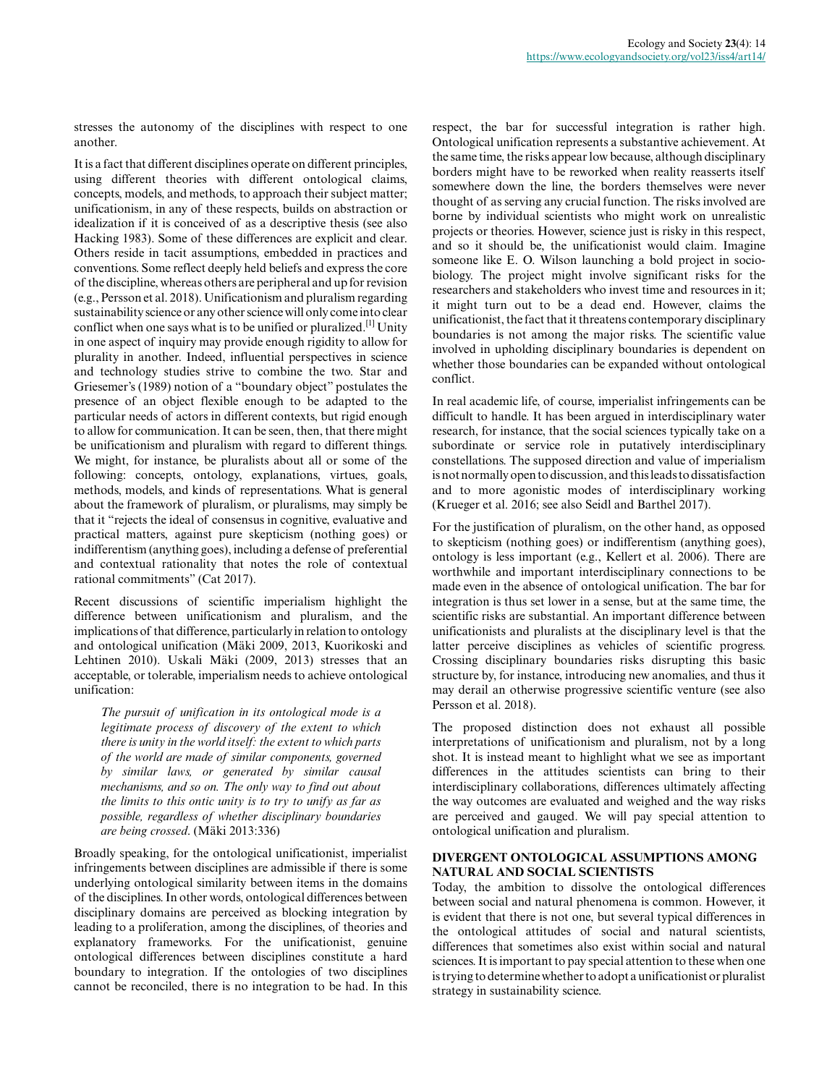stresses the autonomy of the disciplines with respect to one another.

It is a fact that different disciplines operate on different principles, using different theories with different ontological claims, concepts, models, and methods, to approach their subject matter; unificationism, in any of these respects, builds on abstraction or idealization if it is conceived of as a descriptive thesis (see also Hacking 1983). Some of these differences are explicit and clear. Others reside in tacit assumptions, embedded in practices and conventions. Some reflect deeply held beliefs and express the core of the discipline, whereas others are peripheral and up for revision (e.g., Persson et al. 2018). Unificationism and pluralism regarding sustainability science or any other science will only come into clear conflict when one says what is to be unified or pluralized.[1] Unity in one aspect of inquiry may provide enough rigidity to allow for plurality in another. Indeed, influential perspectives in science and technology studies strive to combine the two. Star and Griesemer's (1989) notion of a "boundary object" postulates the presence of an object flexible enough to be adapted to the particular needs of actors in different contexts, but rigid enough to allow for communication. It can be seen, then, that there might be unificationism and pluralism with regard to different things. We might, for instance, be pluralists about all or some of the following: concepts, ontology, explanations, virtues, goals, methods, models, and kinds of representations. What is general about the framework of pluralism, or pluralisms, may simply be that it "rejects the ideal of consensus in cognitive, evaluative and practical matters, against pure skepticism (nothing goes) or indifferentism (anything goes), including a defense of preferential and contextual rationality that notes the role of contextual rational commitments" (Cat 2017).

Recent discussions of scientific imperialism highlight the difference between unificationism and pluralism, and the implications of that difference, particularly in relation to ontology and ontological unification (Mäki 2009, 2013, Kuorikoski and Lehtinen 2010). Uskali Mäki (2009, 2013) stresses that an acceptable, or tolerable, imperialism needs to achieve ontological unification:

*The pursuit of unification in its ontological mode is a legitimate process of discovery of the extent to which there is unity in the world itself: the extent to which parts of the world are made of similar components, governed by similar laws, or generated by similar causal mechanisms, and so on. The only way to find out about the limits to this ontic unity is to try to unify as far as possible, regardless of whether disciplinary boundaries are being crossed*. (Mäki 2013:336)

Broadly speaking, for the ontological unificationist, imperialist infringements between disciplines are admissible if there is some underlying ontological similarity between items in the domains of the disciplines. In other words, ontological differences between disciplinary domains are perceived as blocking integration by leading to a proliferation, among the disciplines, of theories and explanatory frameworks. For the unificationist, genuine ontological differences between disciplines constitute a hard boundary to integration. If the ontologies of two disciplines cannot be reconciled, there is no integration to be had. In this

respect, the bar for successful integration is rather high. Ontological unification represents a substantive achievement. At the same time, the risks appear low because, although disciplinary borders might have to be reworked when reality reasserts itself somewhere down the line, the borders themselves were never thought of as serving any crucial function. The risks involved are borne by individual scientists who might work on unrealistic projects or theories. However, science just is risky in this respect, and so it should be, the unificationist would claim. Imagine someone like E. O. Wilson launching a bold project in sociobiology. The project might involve significant risks for the researchers and stakeholders who invest time and resources in it; it might turn out to be a dead end. However, claims the unificationist, the fact that it threatens contemporary disciplinary boundaries is not among the major risks. The scientific value involved in upholding disciplinary boundaries is dependent on whether those boundaries can be expanded without ontological conflict.

In real academic life, of course, imperialist infringements can be difficult to handle. It has been argued in interdisciplinary water research, for instance, that the social sciences typically take on a subordinate or service role in putatively interdisciplinary constellations. The supposed direction and value of imperialism is not normally open to discussion, and this leads to dissatisfaction and to more agonistic modes of interdisciplinary working (Krueger et al. 2016; see also Seidl and Barthel 2017).

For the justification of pluralism, on the other hand, as opposed to skepticism (nothing goes) or indifferentism (anything goes), ontology is less important (e.g., Kellert et al. 2006). There are worthwhile and important interdisciplinary connections to be made even in the absence of ontological unification. The bar for integration is thus set lower in a sense, but at the same time, the scientific risks are substantial. An important difference between unificationists and pluralists at the disciplinary level is that the latter perceive disciplines as vehicles of scientific progress. Crossing disciplinary boundaries risks disrupting this basic structure by, for instance, introducing new anomalies, and thus it may derail an otherwise progressive scientific venture (see also Persson et al. 2018).

The proposed distinction does not exhaust all possible interpretations of unificationism and pluralism, not by a long shot. It is instead meant to highlight what we see as important differences in the attitudes scientists can bring to their interdisciplinary collaborations, differences ultimately affecting the way outcomes are evaluated and weighed and the way risks are perceived and gauged. We will pay special attention to ontological unification and pluralism.

# **DIVERGENT ONTOLOGICAL ASSUMPTIONS AMONG NATURAL AND SOCIAL SCIENTISTS**

Today, the ambition to dissolve the ontological differences between social and natural phenomena is common. However, it is evident that there is not one, but several typical differences in the ontological attitudes of social and natural scientists, differences that sometimes also exist within social and natural sciences. It is important to pay special attention to these when one is trying to determine whether to adopt a unificationist or pluralist strategy in sustainability science.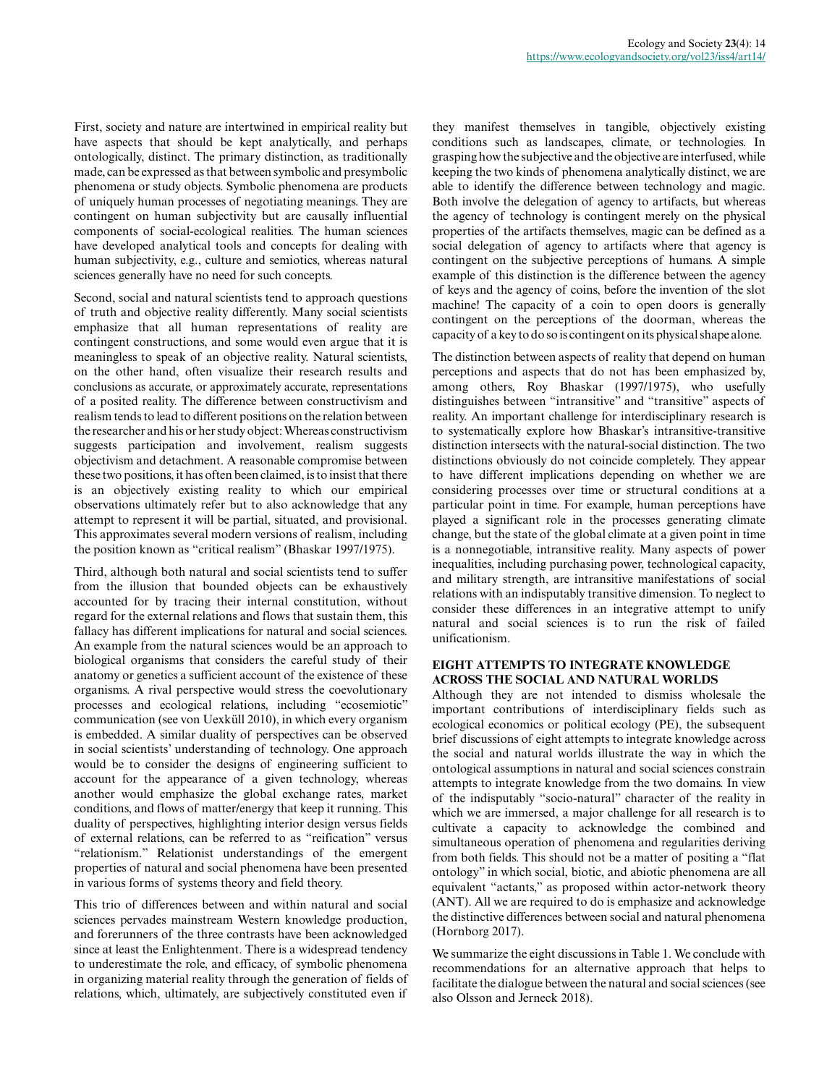First, society and nature are intertwined in empirical reality but have aspects that should be kept analytically, and perhaps ontologically, distinct. The primary distinction, as traditionally made, can be expressed as that between symbolic and presymbolic phenomena or study objects. Symbolic phenomena are products of uniquely human processes of negotiating meanings. They are contingent on human subjectivity but are causally influential components of social-ecological realities. The human sciences have developed analytical tools and concepts for dealing with human subjectivity, e.g., culture and semiotics, whereas natural sciences generally have no need for such concepts.

Second, social and natural scientists tend to approach questions of truth and objective reality differently. Many social scientists emphasize that all human representations of reality are contingent constructions, and some would even argue that it is meaningless to speak of an objective reality. Natural scientists, on the other hand, often visualize their research results and conclusions as accurate, or approximately accurate, representations of a posited reality. The difference between constructivism and realism tends to lead to different positions on the relation between the researcher and his or her study object: Whereas constructivism suggests participation and involvement, realism suggests objectivism and detachment. A reasonable compromise between these two positions, it has often been claimed, is to insist that there is an objectively existing reality to which our empirical observations ultimately refer but to also acknowledge that any attempt to represent it will be partial, situated, and provisional. This approximates several modern versions of realism, including the position known as "critical realism" (Bhaskar 1997/1975).

Third, although both natural and social scientists tend to suffer from the illusion that bounded objects can be exhaustively accounted for by tracing their internal constitution, without regard for the external relations and flows that sustain them, this fallacy has different implications for natural and social sciences. An example from the natural sciences would be an approach to biological organisms that considers the careful study of their anatomy or genetics a sufficient account of the existence of these organisms. A rival perspective would stress the coevolutionary processes and ecological relations, including "ecosemiotic" communication (see von Uexküll 2010), in which every organism is embedded. A similar duality of perspectives can be observed in social scientists' understanding of technology. One approach would be to consider the designs of engineering sufficient to account for the appearance of a given technology, whereas another would emphasize the global exchange rates, market conditions, and flows of matter/energy that keep it running. This duality of perspectives, highlighting interior design versus fields of external relations, can be referred to as "reification" versus "relationism." Relationist understandings of the emergent properties of natural and social phenomena have been presented in various forms of systems theory and field theory.

This trio of differences between and within natural and social sciences pervades mainstream Western knowledge production, and forerunners of the three contrasts have been acknowledged since at least the Enlightenment. There is a widespread tendency to underestimate the role, and efficacy, of symbolic phenomena in organizing material reality through the generation of fields of relations, which, ultimately, are subjectively constituted even if

they manifest themselves in tangible, objectively existing conditions such as landscapes, climate, or technologies. In grasping how the subjective and the objective are interfused, while keeping the two kinds of phenomena analytically distinct, we are able to identify the difference between technology and magic. Both involve the delegation of agency to artifacts, but whereas the agency of technology is contingent merely on the physical properties of the artifacts themselves, magic can be defined as a social delegation of agency to artifacts where that agency is contingent on the subjective perceptions of humans. A simple example of this distinction is the difference between the agency of keys and the agency of coins, before the invention of the slot machine! The capacity of a coin to open doors is generally contingent on the perceptions of the doorman, whereas the capacity of a key to do so is contingent on its physical shape alone.

The distinction between aspects of reality that depend on human perceptions and aspects that do not has been emphasized by, among others, Roy Bhaskar (1997/1975), who usefully distinguishes between "intransitive" and "transitive" aspects of reality. An important challenge for interdisciplinary research is to systematically explore how Bhaskar's intransitive-transitive distinction intersects with the natural-social distinction. The two distinctions obviously do not coincide completely. They appear to have different implications depending on whether we are considering processes over time or structural conditions at a particular point in time. For example, human perceptions have played a significant role in the processes generating climate change, but the state of the global climate at a given point in time is a nonnegotiable, intransitive reality. Many aspects of power inequalities, including purchasing power, technological capacity, and military strength, are intransitive manifestations of social relations with an indisputably transitive dimension. To neglect to consider these differences in an integrative attempt to unify natural and social sciences is to run the risk of failed unificationism.

# **EIGHT ATTEMPTS TO INTEGRATE KNOWLEDGE ACROSS THE SOCIAL AND NATURAL WORLDS**

Although they are not intended to dismiss wholesale the important contributions of interdisciplinary fields such as ecological economics or political ecology (PE), the subsequent brief discussions of eight attempts to integrate knowledge across the social and natural worlds illustrate the way in which the ontological assumptions in natural and social sciences constrain attempts to integrate knowledge from the two domains. In view of the indisputably "socio-natural" character of the reality in which we are immersed, a major challenge for all research is to cultivate a capacity to acknowledge the combined and simultaneous operation of phenomena and regularities deriving from both fields. This should not be a matter of positing a "flat ontology" in which social, biotic, and abiotic phenomena are all equivalent "actants," as proposed within actor-network theory (ANT). All we are required to do is emphasize and acknowledge the distinctive differences between social and natural phenomena (Hornborg 2017).

We summarize the eight discussions in Table 1. We conclude with recommendations for an alternative approach that helps to facilitate the dialogue between the natural and social sciences (see also Olsson and Jerneck 2018).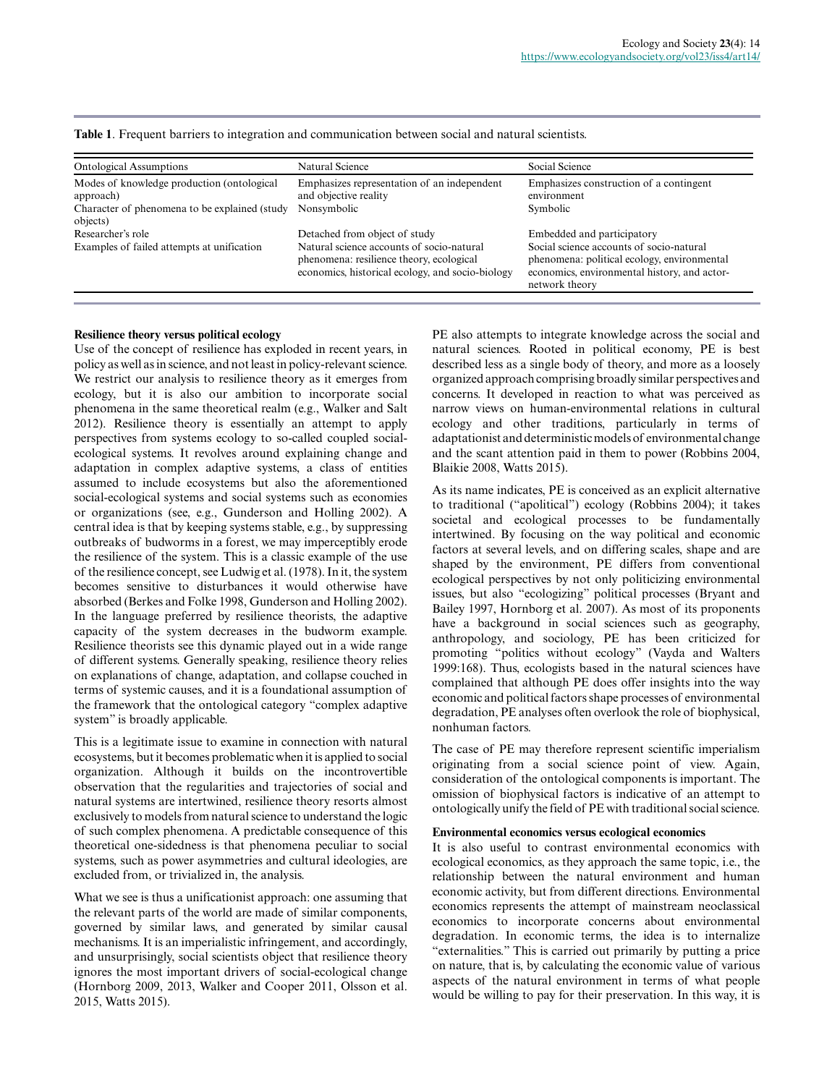| <b>Ontological Assumptions</b>                            | Natural Science                                                                                                                           | Social Science                                                                                                                                            |  |
|-----------------------------------------------------------|-------------------------------------------------------------------------------------------------------------------------------------------|-----------------------------------------------------------------------------------------------------------------------------------------------------------|--|
| Modes of knowledge production (ontological<br>approach)   | Emphasizes representation of an independent<br>and objective reality                                                                      | Emphasizes construction of a contingent<br>environment                                                                                                    |  |
| Character of phenomena to be explained (study<br>objects) | Nonsymbolic                                                                                                                               | Symbolic                                                                                                                                                  |  |
| Researcher's role                                         | Detached from object of study                                                                                                             | Embedded and participatory                                                                                                                                |  |
| Examples of failed attempts at unification                | Natural science accounts of socio-natural<br>phenomena: resilience theory, ecological<br>economics, historical ecology, and socio-biology | Social science accounts of socio-natural<br>phenomena: political ecology, environmental<br>economics, environmental history, and actor-<br>network theory |  |

**Table 1**. Frequent barriers to integration and communication between social and natural scientists.

### **Resilience theory versus political ecology**

Use of the concept of resilience has exploded in recent years, in policy as well as in science, and not least in policy-relevant science. We restrict our analysis to resilience theory as it emerges from ecology, but it is also our ambition to incorporate social phenomena in the same theoretical realm (e.g., Walker and Salt 2012). Resilience theory is essentially an attempt to apply perspectives from systems ecology to so-called coupled socialecological systems. It revolves around explaining change and adaptation in complex adaptive systems, a class of entities assumed to include ecosystems but also the aforementioned social-ecological systems and social systems such as economies or organizations (see, e.g., Gunderson and Holling 2002). A central idea is that by keeping systems stable, e.g., by suppressing outbreaks of budworms in a forest, we may imperceptibly erode the resilience of the system. This is a classic example of the use of the resilience concept, see Ludwig et al. (1978). In it, the system becomes sensitive to disturbances it would otherwise have absorbed (Berkes and Folke 1998, Gunderson and Holling 2002). In the language preferred by resilience theorists, the adaptive capacity of the system decreases in the budworm example. Resilience theorists see this dynamic played out in a wide range of different systems. Generally speaking, resilience theory relies on explanations of change, adaptation, and collapse couched in terms of systemic causes, and it is a foundational assumption of the framework that the ontological category "complex adaptive system" is broadly applicable.

This is a legitimate issue to examine in connection with natural ecosystems, but it becomes problematic when it is applied to social organization. Although it builds on the incontrovertible observation that the regularities and trajectories of social and natural systems are intertwined, resilience theory resorts almost exclusively to models from natural science to understand the logic of such complex phenomena. A predictable consequence of this theoretical one-sidedness is that phenomena peculiar to social systems, such as power asymmetries and cultural ideologies, are excluded from, or trivialized in, the analysis.

What we see is thus a unificationist approach: one assuming that the relevant parts of the world are made of similar components, governed by similar laws, and generated by similar causal mechanisms. It is an imperialistic infringement, and accordingly, and unsurprisingly, social scientists object that resilience theory ignores the most important drivers of social-ecological change (Hornborg 2009, 2013, Walker and Cooper 2011, Olsson et al. 2015, Watts 2015).

PE also attempts to integrate knowledge across the social and natural sciences. Rooted in political economy, PE is best described less as a single body of theory, and more as a loosely organized approach comprising broadly similar perspectives and concerns. It developed in reaction to what was perceived as narrow views on human-environmental relations in cultural ecology and other traditions, particularly in terms of adaptationist and deterministic models of environmental change and the scant attention paid in them to power (Robbins 2004, Blaikie 2008, Watts 2015).

As its name indicates, PE is conceived as an explicit alternative to traditional ("apolitical") ecology (Robbins 2004); it takes societal and ecological processes to be fundamentally intertwined. By focusing on the way political and economic factors at several levels, and on differing scales, shape and are shaped by the environment, PE differs from conventional ecological perspectives by not only politicizing environmental issues, but also "ecologizing" political processes (Bryant and Bailey 1997, Hornborg et al. 2007). As most of its proponents have a background in social sciences such as geography, anthropology, and sociology, PE has been criticized for promoting "politics without ecology" (Vayda and Walters 1999:168). Thus, ecologists based in the natural sciences have complained that although PE does offer insights into the way economic and political factors shape processes of environmental degradation, PE analyses often overlook the role of biophysical, nonhuman factors.

The case of PE may therefore represent scientific imperialism originating from a social science point of view. Again, consideration of the ontological components is important. The omission of biophysical factors is indicative of an attempt to ontologically unify the field of PE with traditional social science.

#### **Environmental economics versus ecological economics**

It is also useful to contrast environmental economics with ecological economics, as they approach the same topic, i.e., the relationship between the natural environment and human economic activity, but from different directions. Environmental economics represents the attempt of mainstream neoclassical economics to incorporate concerns about environmental degradation. In economic terms, the idea is to internalize "externalities." This is carried out primarily by putting a price on nature, that is, by calculating the economic value of various aspects of the natural environment in terms of what people would be willing to pay for their preservation. In this way, it is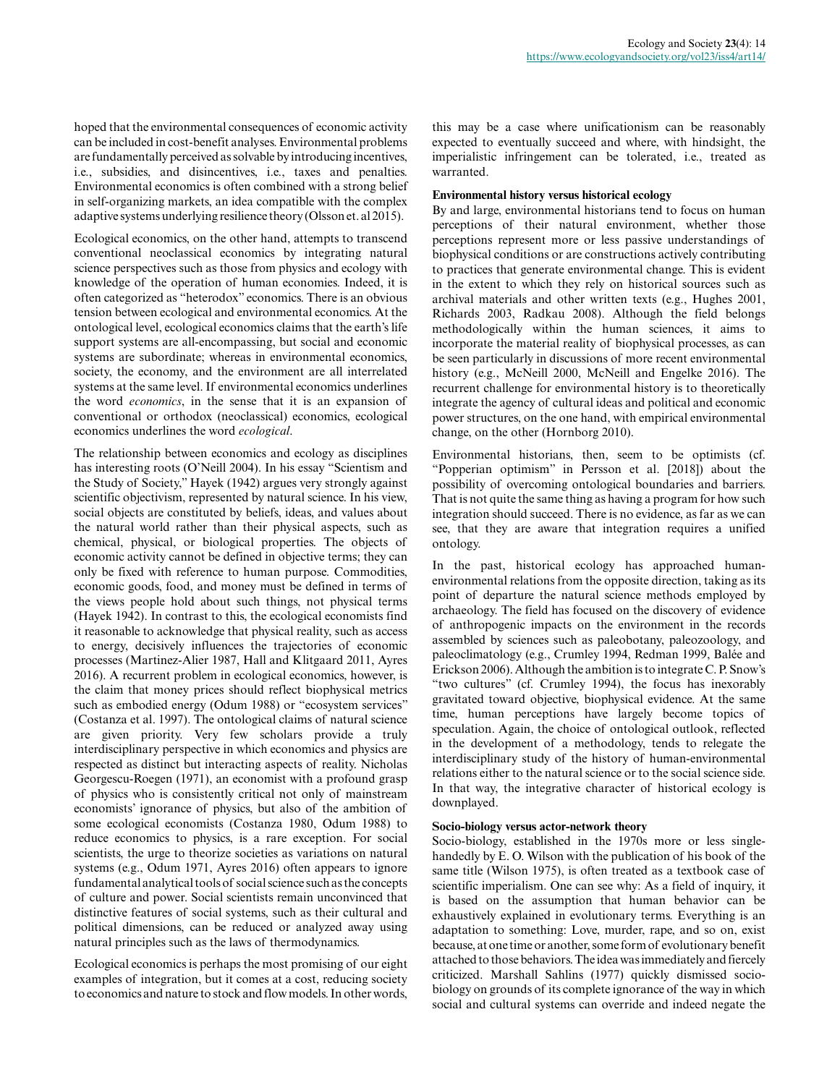hoped that the environmental consequences of economic activity can be included in cost-benefit analyses. Environmental problems are fundamentally perceived as solvable by introducing incentives, i.e., subsidies, and disincentives, i.e., taxes and penalties. Environmental economics is often combined with a strong belief in self-organizing markets, an idea compatible with the complex adaptive systems underlying resilience theory (Olsson et. al 2015).

Ecological economics, on the other hand, attempts to transcend conventional neoclassical economics by integrating natural science perspectives such as those from physics and ecology with knowledge of the operation of human economies. Indeed, it is often categorized as "heterodox" economics. There is an obvious tension between ecological and environmental economics. At the ontological level, ecological economics claims that the earth's life support systems are all-encompassing, but social and economic systems are subordinate; whereas in environmental economics, society, the economy, and the environment are all interrelated systems at the same level. If environmental economics underlines the word *economics*, in the sense that it is an expansion of conventional or orthodox (neoclassical) economics, ecological economics underlines the word *ecological*.

The relationship between economics and ecology as disciplines has interesting roots (O'Neill 2004). In his essay "Scientism and the Study of Society," Hayek (1942) argues very strongly against scientific objectivism, represented by natural science. In his view, social objects are constituted by beliefs, ideas, and values about the natural world rather than their physical aspects, such as chemical, physical, or biological properties. The objects of economic activity cannot be defined in objective terms; they can only be fixed with reference to human purpose. Commodities, economic goods, food, and money must be defined in terms of the views people hold about such things, not physical terms (Hayek 1942). In contrast to this, the ecological economists find it reasonable to acknowledge that physical reality, such as access to energy, decisively influences the trajectories of economic processes (Martinez-Alier 1987, Hall and Klitgaard 2011, Ayres 2016). A recurrent problem in ecological economics, however, is the claim that money prices should reflect biophysical metrics such as embodied energy (Odum 1988) or "ecosystem services" (Costanza et al. 1997). The ontological claims of natural science are given priority. Very few scholars provide a truly interdisciplinary perspective in which economics and physics are respected as distinct but interacting aspects of reality. Nicholas Georgescu-Roegen (1971), an economist with a profound grasp of physics who is consistently critical not only of mainstream economists' ignorance of physics, but also of the ambition of some ecological economists (Costanza 1980, Odum 1988) to reduce economics to physics, is a rare exception. For social scientists, the urge to theorize societies as variations on natural systems (e.g., Odum 1971, Ayres 2016) often appears to ignore fundamental analytical tools of social science such as the concepts of culture and power. Social scientists remain unconvinced that distinctive features of social systems, such as their cultural and political dimensions, can be reduced or analyzed away using natural principles such as the laws of thermodynamics.

Ecological economics is perhaps the most promising of our eight examples of integration, but it comes at a cost, reducing society to economics and nature to stock and flow models. In other words,

this may be a case where unificationism can be reasonably expected to eventually succeed and where, with hindsight, the imperialistic infringement can be tolerated, i.e., treated as warranted.

## **Environmental history versus historical ecology**

By and large, environmental historians tend to focus on human perceptions of their natural environment, whether those perceptions represent more or less passive understandings of biophysical conditions or are constructions actively contributing to practices that generate environmental change. This is evident in the extent to which they rely on historical sources such as archival materials and other written texts (e.g., Hughes 2001, Richards 2003, Radkau 2008). Although the field belongs methodologically within the human sciences, it aims to incorporate the material reality of biophysical processes, as can be seen particularly in discussions of more recent environmental history (e.g., McNeill 2000, McNeill and Engelke 2016). The recurrent challenge for environmental history is to theoretically integrate the agency of cultural ideas and political and economic power structures, on the one hand, with empirical environmental change, on the other (Hornborg 2010).

Environmental historians, then, seem to be optimists (cf. "Popperian optimism" in Persson et al. [2018]) about the possibility of overcoming ontological boundaries and barriers. That is not quite the same thing as having a program for how such integration should succeed. There is no evidence, as far as we can see, that they are aware that integration requires a unified ontology.

In the past, historical ecology has approached humanenvironmental relations from the opposite direction, taking as its point of departure the natural science methods employed by archaeology. The field has focused on the discovery of evidence of anthropogenic impacts on the environment in the records assembled by sciences such as paleobotany, paleozoology, and paleoclimatology (e.g., Crumley 1994, Redman 1999, Balée and Erickson 2006). Although the ambition is to integrate C. P. Snow's "two cultures" (cf. Crumley 1994), the focus has inexorably gravitated toward objective, biophysical evidence. At the same time, human perceptions have largely become topics of speculation. Again, the choice of ontological outlook, reflected in the development of a methodology, tends to relegate the interdisciplinary study of the history of human-environmental relations either to the natural science or to the social science side. In that way, the integrative character of historical ecology is downplayed.

#### **Socio-biology versus actor-network theory**

Socio-biology, established in the 1970s more or less singlehandedly by E. O. Wilson with the publication of his book of the same title (Wilson 1975), is often treated as a textbook case of scientific imperialism. One can see why: As a field of inquiry, it is based on the assumption that human behavior can be exhaustively explained in evolutionary terms. Everything is an adaptation to something: Love, murder, rape, and so on, exist because, at one time or another, some form of evolutionary benefit attached to those behaviors. The idea was immediately and fiercely criticized. Marshall Sahlins (1977) quickly dismissed sociobiology on grounds of its complete ignorance of the way in which social and cultural systems can override and indeed negate the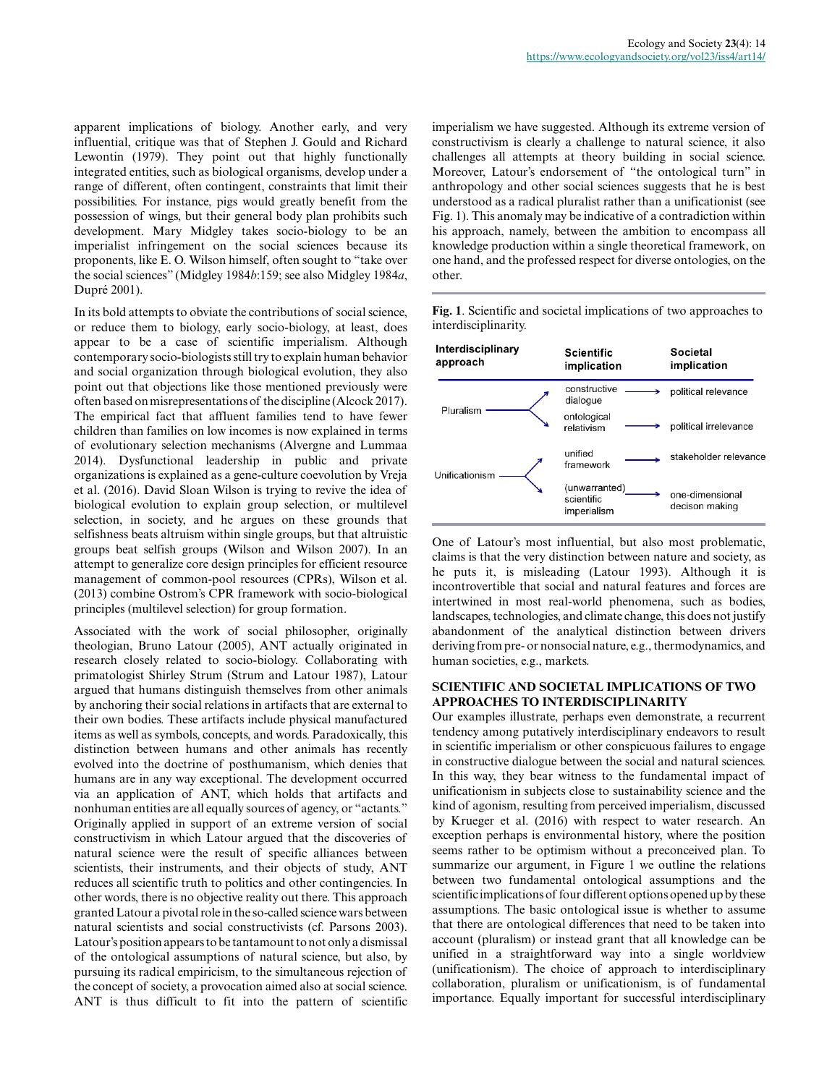apparent implications of biology. Another early, and very influential, critique was that of Stephen J. Gould and Richard Lewontin (1979). They point out that highly functionally integrated entities, such as biological organisms, develop under a range of different, often contingent, constraints that limit their possibilities. For instance, pigs would greatly benefit from the possession of wings, but their general body plan prohibits such development. Mary Midgley takes socio-biology to be an imperialist infringement on the social sciences because its proponents, like E. O. Wilson himself, often sought to "take over the social sciences" (Midgley 1984*b*:159; see also Midgley 1984*a*, Dupré 2001).

In its bold attempts to obviate the contributions of social science, or reduce them to biology, early socio-biology, at least, does appear to be a case of scientific imperialism. Although contemporary socio-biologists still try to explain human behavior and social organization through biological evolution, they also point out that objections like those mentioned previously were often based on misrepresentations of the discipline (Alcock 2017). The empirical fact that affluent families tend to have fewer children than families on low incomes is now explained in terms of evolutionary selection mechanisms (Alvergne and Lummaa 2014). Dysfunctional leadership in public and private organizations is explained as a gene-culture coevolution by Vreja et al. (2016). David Sloan Wilson is trying to revive the idea of biological evolution to explain group selection, or multilevel selection, in society, and he argues on these grounds that selfishness beats altruism within single groups, but that altruistic groups beat selfish groups (Wilson and Wilson 2007). In an attempt to generalize core design principles for efficient resource management of common-pool resources (CPRs), Wilson et al. (2013) combine Ostrom's CPR framework with socio-biological principles (multilevel selection) for group formation.

Associated with the work of social philosopher, originally theologian, Bruno Latour (2005), ANT actually originated in research closely related to socio-biology. Collaborating with primatologist Shirley Strum (Strum and Latour 1987), Latour argued that humans distinguish themselves from other animals by anchoring their social relations in artifacts that are external to their own bodies. These artifacts include physical manufactured items as well as symbols, concepts, and words. Paradoxically, this distinction between humans and other animals has recently evolved into the doctrine of posthumanism, which denies that humans are in any way exceptional. The development occurred via an application of ANT, which holds that artifacts and nonhuman entities are all equally sources of agency, or "actants." Originally applied in support of an extreme version of social constructivism in which Latour argued that the discoveries of natural science were the result of specific alliances between scientists, their instruments, and their objects of study, ANT reduces all scientific truth to politics and other contingencies. In other words, there is no objective reality out there. This approach granted Latour a pivotal role in the so-called science wars between natural scientists and social constructivists (cf. Parsons 2003). Latour's position appears to be tantamount to not only a dismissal of the ontological assumptions of natural science, but also, by pursuing its radical empiricism, to the simultaneous rejection of the concept of society, a provocation aimed also at social science. ANT is thus difficult to fit into the pattern of scientific

imperialism we have suggested. Although its extreme version of constructivism is clearly a challenge to natural science, it also challenges all attempts at theory building in social science. Moreover, Latour's endorsement of "the ontological turn" in anthropology and other social sciences suggests that he is best understood as a radical pluralist rather than a unificationist (see Fig. 1). This anomaly may be indicative of a contradiction within his approach, namely, between the ambition to encompass all knowledge production within a single theoretical framework, on one hand, and the professed respect for diverse ontologies, on the other.

**Fig. 1**. Scientific and societal implications of two approaches to interdisciplinarity.

| Interdisciplinary<br>approach | <b>Scientific</b><br>implication           | Societal<br>implication           |
|-------------------------------|--------------------------------------------|-----------------------------------|
| Pluralism                     | constructive<br>dialogue                   | political relevance               |
|                               | ontological<br>relativism                  | political irrelevance             |
| Unificationism                | unified<br>framework                       | stakeholder relevance             |
|                               | (unwarranted)<br>scientific<br>imperialism | one-dimensional<br>decison making |

One of Latour's most influential, but also most problematic, claims is that the very distinction between nature and society, as he puts it, is misleading (Latour 1993). Although it is incontrovertible that social and natural features and forces are intertwined in most real-world phenomena, such as bodies, landscapes, technologies, and climate change, this does not justify abandonment of the analytical distinction between drivers deriving from pre- or nonsocial nature, e.g., thermodynamics, and human societies, e.g., markets.

# **SCIENTIFIC AND SOCIETAL IMPLICATIONS OF TWO APPROACHES TO INTERDISCIPLINARITY**

Our examples illustrate, perhaps even demonstrate, a recurrent tendency among putatively interdisciplinary endeavors to result in scientific imperialism or other conspicuous failures to engage in constructive dialogue between the social and natural sciences. In this way, they bear witness to the fundamental impact of unificationism in subjects close to sustainability science and the kind of agonism, resulting from perceived imperialism, discussed by Krueger et al. (2016) with respect to water research. An exception perhaps is environmental history, where the position seems rather to be optimism without a preconceived plan. To summarize our argument, in Figure 1 we outline the relations between two fundamental ontological assumptions and the scientific implications of four different options opened up by these assumptions. The basic ontological issue is whether to assume that there are ontological differences that need to be taken into account (pluralism) or instead grant that all knowledge can be unified in a straightforward way into a single worldview (unificationism). The choice of approach to interdisciplinary collaboration, pluralism or unificationism, is of fundamental importance. Equally important for successful interdisciplinary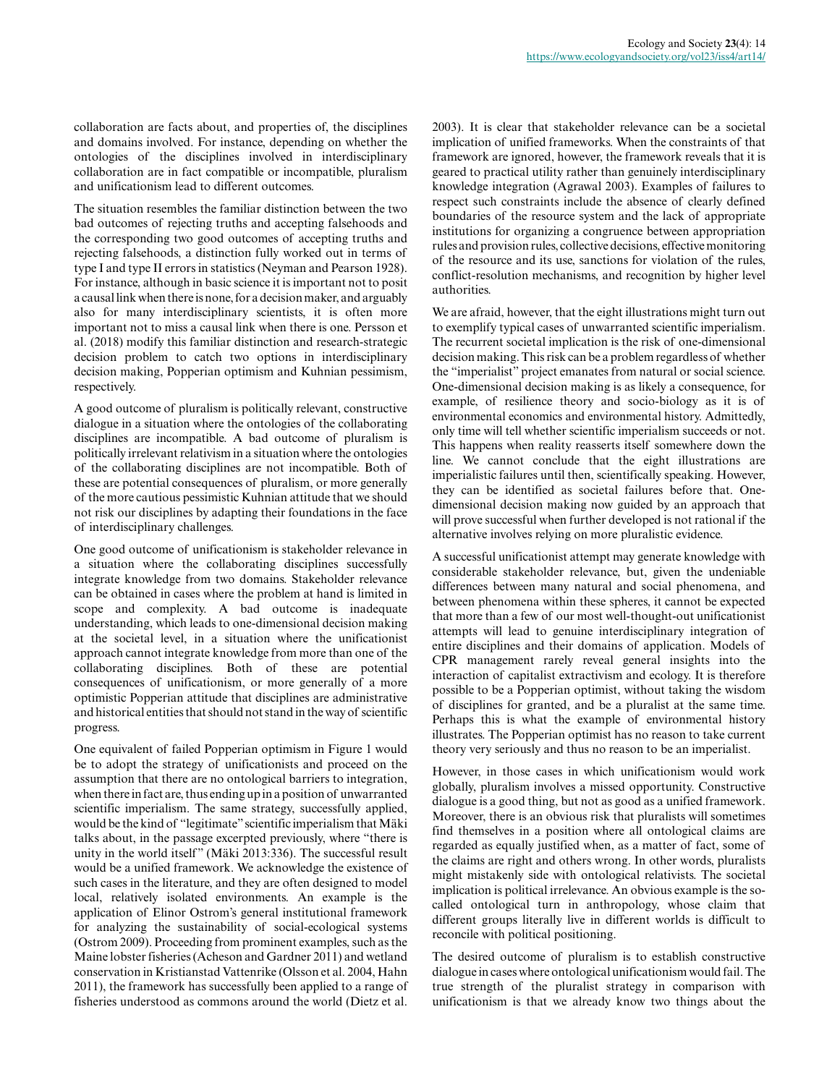collaboration are facts about, and properties of, the disciplines and domains involved. For instance, depending on whether the ontologies of the disciplines involved in interdisciplinary collaboration are in fact compatible or incompatible, pluralism and unificationism lead to different outcomes.

The situation resembles the familiar distinction between the two bad outcomes of rejecting truths and accepting falsehoods and the corresponding two good outcomes of accepting truths and rejecting falsehoods, a distinction fully worked out in terms of type I and type II errors in statistics (Neyman and Pearson 1928). For instance, although in basic science it is important not to posit a causal link when there is none, for a decision maker, and arguably also for many interdisciplinary scientists, it is often more important not to miss a causal link when there is one. Persson et al. (2018) modify this familiar distinction and research-strategic decision problem to catch two options in interdisciplinary decision making, Popperian optimism and Kuhnian pessimism, respectively.

A good outcome of pluralism is politically relevant, constructive dialogue in a situation where the ontologies of the collaborating disciplines are incompatible. A bad outcome of pluralism is politically irrelevant relativism in a situation where the ontologies of the collaborating disciplines are not incompatible. Both of these are potential consequences of pluralism, or more generally of the more cautious pessimistic Kuhnian attitude that we should not risk our disciplines by adapting their foundations in the face of interdisciplinary challenges.

One good outcome of unificationism is stakeholder relevance in a situation where the collaborating disciplines successfully integrate knowledge from two domains. Stakeholder relevance can be obtained in cases where the problem at hand is limited in scope and complexity. A bad outcome is inadequate understanding, which leads to one-dimensional decision making at the societal level, in a situation where the unificationist approach cannot integrate knowledge from more than one of the collaborating disciplines. Both of these are potential consequences of unificationism, or more generally of a more optimistic Popperian attitude that disciplines are administrative and historical entities that should not stand in the way of scientific progress.

One equivalent of failed Popperian optimism in Figure 1 would be to adopt the strategy of unificationists and proceed on the assumption that there are no ontological barriers to integration, when there in fact are, thus ending up in a position of unwarranted scientific imperialism. The same strategy, successfully applied, would be the kind of "legitimate" scientific imperialism that Mäki talks about, in the passage excerpted previously, where "there is unity in the world itself" (Mäki 2013:336). The successful result would be a unified framework. We acknowledge the existence of such cases in the literature, and they are often designed to model local, relatively isolated environments. An example is the application of Elinor Ostrom's general institutional framework for analyzing the sustainability of social-ecological systems (Ostrom 2009). Proceeding from prominent examples, such as the Maine lobster fisheries (Acheson and Gardner 2011) and wetland conservation in Kristianstad Vattenrike (Olsson et al. 2004, Hahn 2011), the framework has successfully been applied to a range of fisheries understood as commons around the world (Dietz et al.

2003). It is clear that stakeholder relevance can be a societal implication of unified frameworks. When the constraints of that framework are ignored, however, the framework reveals that it is geared to practical utility rather than genuinely interdisciplinary knowledge integration (Agrawal 2003). Examples of failures to respect such constraints include the absence of clearly defined boundaries of the resource system and the lack of appropriate institutions for organizing a congruence between appropriation rules and provision rules, collective decisions, effective monitoring of the resource and its use, sanctions for violation of the rules, conflict-resolution mechanisms, and recognition by higher level authorities.

We are afraid, however, that the eight illustrations might turn out to exemplify typical cases of unwarranted scientific imperialism. The recurrent societal implication is the risk of one-dimensional decision making. This risk can be a problem regardless of whether the "imperialist" project emanates from natural or social science. One-dimensional decision making is as likely a consequence, for example, of resilience theory and socio-biology as it is of environmental economics and environmental history. Admittedly, only time will tell whether scientific imperialism succeeds or not. This happens when reality reasserts itself somewhere down the line. We cannot conclude that the eight illustrations are imperialistic failures until then, scientifically speaking. However, they can be identified as societal failures before that. Onedimensional decision making now guided by an approach that will prove successful when further developed is not rational if the alternative involves relying on more pluralistic evidence.

A successful unificationist attempt may generate knowledge with considerable stakeholder relevance, but, given the undeniable differences between many natural and social phenomena, and between phenomena within these spheres, it cannot be expected that more than a few of our most well-thought-out unificationist attempts will lead to genuine interdisciplinary integration of entire disciplines and their domains of application. Models of CPR management rarely reveal general insights into the interaction of capitalist extractivism and ecology. It is therefore possible to be a Popperian optimist, without taking the wisdom of disciplines for granted, and be a pluralist at the same time. Perhaps this is what the example of environmental history illustrates. The Popperian optimist has no reason to take current theory very seriously and thus no reason to be an imperialist.

However, in those cases in which unificationism would work globally, pluralism involves a missed opportunity. Constructive dialogue is a good thing, but not as good as a unified framework. Moreover, there is an obvious risk that pluralists will sometimes find themselves in a position where all ontological claims are regarded as equally justified when, as a matter of fact, some of the claims are right and others wrong. In other words, pluralists might mistakenly side with ontological relativists. The societal implication is political irrelevance. An obvious example is the socalled ontological turn in anthropology, whose claim that different groups literally live in different worlds is difficult to reconcile with political positioning.

The desired outcome of pluralism is to establish constructive dialogue in cases where ontological unificationism would fail. The true strength of the pluralist strategy in comparison with unificationism is that we already know two things about the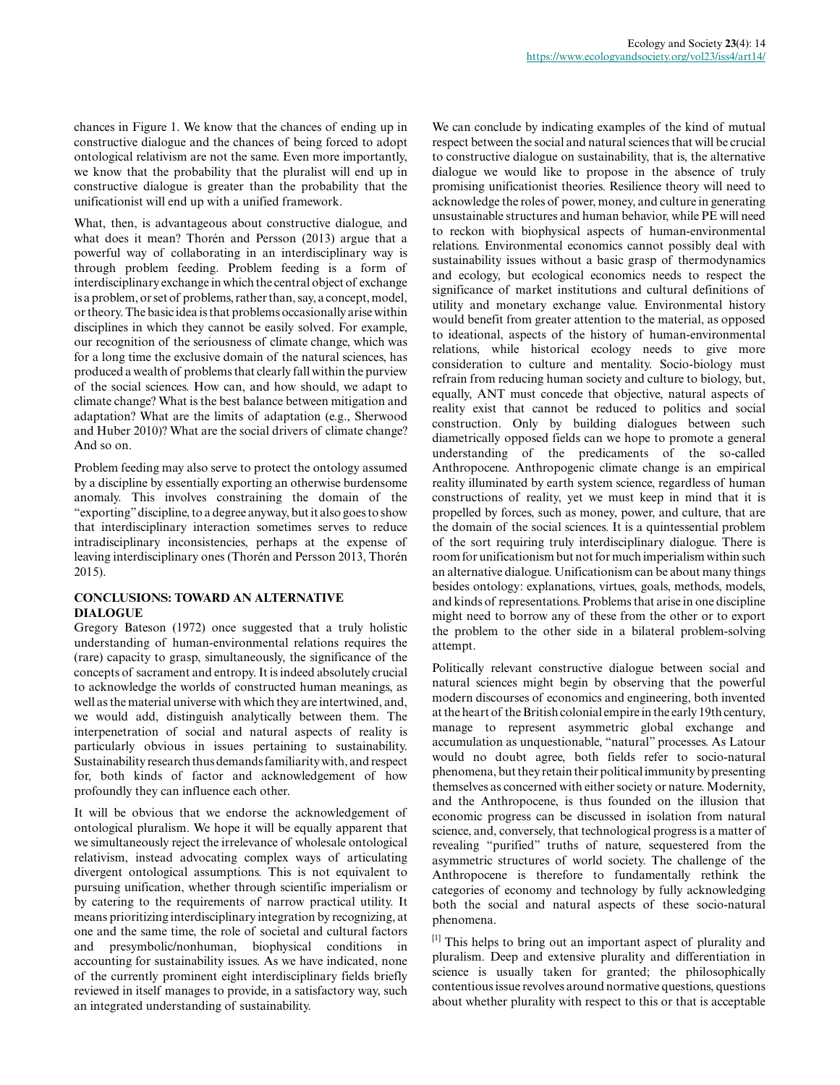chances in Figure 1. We know that the chances of ending up in constructive dialogue and the chances of being forced to adopt ontological relativism are not the same. Even more importantly, we know that the probability that the pluralist will end up in constructive dialogue is greater than the probability that the unificationist will end up with a unified framework.

What, then, is advantageous about constructive dialogue, and what does it mean? Thorén and Persson (2013) argue that a powerful way of collaborating in an interdisciplinary way is through problem feeding. Problem feeding is a form of interdisciplinary exchange in which the central object of exchange is a problem, or set of problems, rather than, say, a concept, model, or theory. The basic idea is that problems occasionally arise within disciplines in which they cannot be easily solved. For example, our recognition of the seriousness of climate change, which was for a long time the exclusive domain of the natural sciences, has produced a wealth of problems that clearly fall within the purview of the social sciences. How can, and how should, we adapt to climate change? What is the best balance between mitigation and adaptation? What are the limits of adaptation (e.g., Sherwood and Huber 2010)? What are the social drivers of climate change? And so on.

Problem feeding may also serve to protect the ontology assumed by a discipline by essentially exporting an otherwise burdensome anomaly. This involves constraining the domain of the "exporting" discipline, to a degree anyway, but it also goes to show that interdisciplinary interaction sometimes serves to reduce intradisciplinary inconsistencies, perhaps at the expense of leaving interdisciplinary ones (Thorén and Persson 2013, Thorén 2015).

# **CONCLUSIONS: TOWARD AN ALTERNATIVE DIALOGUE**

Gregory Bateson (1972) once suggested that a truly holistic understanding of human-environmental relations requires the (rare) capacity to grasp, simultaneously, the significance of the concepts of sacrament and entropy. It is indeed absolutely crucial to acknowledge the worlds of constructed human meanings, as well as the material universe with which they are intertwined, and, we would add, distinguish analytically between them. The interpenetration of social and natural aspects of reality is particularly obvious in issues pertaining to sustainability. Sustainability research thus demands familiarity with, and respect for, both kinds of factor and acknowledgement of how profoundly they can influence each other.

It will be obvious that we endorse the acknowledgement of ontological pluralism. We hope it will be equally apparent that we simultaneously reject the irrelevance of wholesale ontological relativism, instead advocating complex ways of articulating divergent ontological assumptions. This is not equivalent to pursuing unification, whether through scientific imperialism or by catering to the requirements of narrow practical utility. It means prioritizing interdisciplinary integration by recognizing, at one and the same time, the role of societal and cultural factors and presymbolic/nonhuman, biophysical conditions in accounting for sustainability issues. As we have indicated, none of the currently prominent eight interdisciplinary fields briefly reviewed in itself manages to provide, in a satisfactory way, such an integrated understanding of sustainability.

We can conclude by indicating examples of the kind of mutual respect between the social and natural sciences that will be crucial to constructive dialogue on sustainability, that is, the alternative dialogue we would like to propose in the absence of truly promising unificationist theories. Resilience theory will need to acknowledge the roles of power, money, and culture in generating unsustainable structures and human behavior, while PE will need to reckon with biophysical aspects of human-environmental relations. Environmental economics cannot possibly deal with sustainability issues without a basic grasp of thermodynamics and ecology, but ecological economics needs to respect the significance of market institutions and cultural definitions of utility and monetary exchange value. Environmental history would benefit from greater attention to the material, as opposed to ideational, aspects of the history of human-environmental relations, while historical ecology needs to give more consideration to culture and mentality. Socio-biology must refrain from reducing human society and culture to biology, but, equally, ANT must concede that objective, natural aspects of reality exist that cannot be reduced to politics and social construction. Only by building dialogues between such diametrically opposed fields can we hope to promote a general understanding of the predicaments of the so-called Anthropocene. Anthropogenic climate change is an empirical reality illuminated by earth system science, regardless of human constructions of reality, yet we must keep in mind that it is propelled by forces, such as money, power, and culture, that are the domain of the social sciences. It is a quintessential problem of the sort requiring truly interdisciplinary dialogue. There is room for unificationism but not for much imperialism within such an alternative dialogue. Unificationism can be about many things besides ontology: explanations, virtues, goals, methods, models, and kinds of representations. Problems that arise in one discipline might need to borrow any of these from the other or to export the problem to the other side in a bilateral problem-solving attempt.

Politically relevant constructive dialogue between social and natural sciences might begin by observing that the powerful modern discourses of economics and engineering, both invented at the heart of the British colonial empire in the early 19th century, manage to represent asymmetric global exchange and accumulation as unquestionable, "natural" processes. As Latour would no doubt agree, both fields refer to socio-natural phenomena, but they retain their political immunity by presenting themselves as concerned with either society or nature. Modernity, and the Anthropocene, is thus founded on the illusion that economic progress can be discussed in isolation from natural science, and, conversely, that technological progress is a matter of revealing "purified" truths of nature, sequestered from the asymmetric structures of world society. The challenge of the Anthropocene is therefore to fundamentally rethink the categories of economy and technology by fully acknowledging both the social and natural aspects of these socio-natural phenomena.

[1] This helps to bring out an important aspect of plurality and pluralism. Deep and extensive plurality and differentiation in science is usually taken for granted; the philosophically contentious issue revolves around normative questions, questions about whether plurality with respect to this or that is acceptable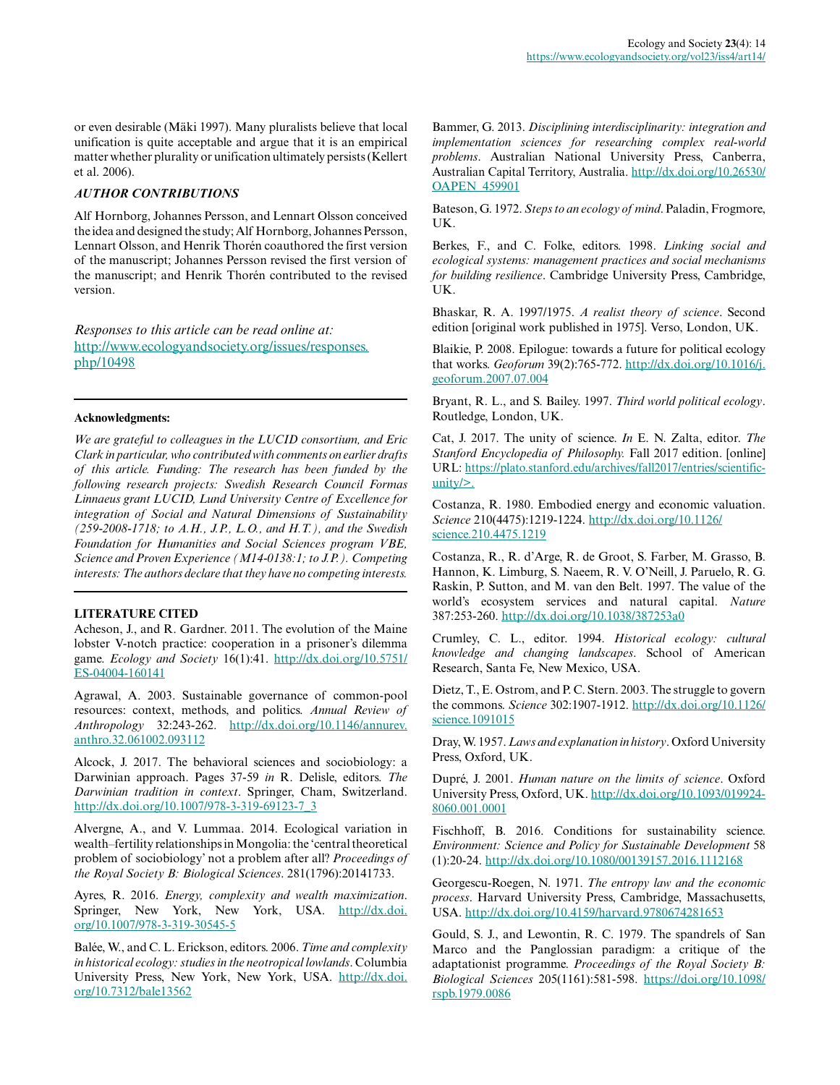or even desirable (Mäki 1997). Many pluralists believe that local unification is quite acceptable and argue that it is an empirical matter whether plurality or unification ultimately persists (Kellert et al. 2006).

## *AUTHOR CONTRIBUTIONS*

Alf Hornborg, Johannes Persson, and Lennart Olsson conceived the idea and designed the study; Alf Hornborg, Johannes Persson, Lennart Olsson, and Henrik Thorén coauthored the first version of the manuscript; Johannes Persson revised the first version of the manuscript; and Henrik Thorén contributed to the revised version.

*Responses to this article can be read online at:* [http://www.ecologyandsociety.org/issues/responses.](http://www.ecologyandsociety.org/issues/responses.php/10498) [php/10498](http://www.ecologyandsociety.org/issues/responses.php/10498)

# **Acknowledgments:**

*We are grateful to colleagues in the LUCID consortium, and Eric Clark in particular, who contributed with comments on earlier drafts of this article. Funding: The research has been funded by the following research projects: Swedish Research Council Formas Linnaeus grant LUCID, Lund University Centre of Excellence for integration of Social and Natural Dimensions of Sustainability (259-2008-1718; to A.H., J.P., L.O., and H.T.), and the Swedish Foundation for Humanities and Social Sciences program VBE, Science and Proven Experience (M14-0138:1; to J.P.). Competing interests: The authors declare that they have no competing interests.*

# **LITERATURE CITED**

Acheson, J., and R. Gardner. 2011. The evolution of the Maine lobster V-notch practice: cooperation in a prisoner's dilemma game. *Ecology and Society* 16(1):41. [http://dx.doi.org/10.5751/](http://dx.doi.org/10.5751%2FES-04004-160141) [ES-04004-160141](http://dx.doi.org/10.5751%2FES-04004-160141)

Agrawal, A. 2003. Sustainable governance of common-pool resources: context, methods, and politics. *Annual Review of Anthropology* 32:243-262. [http://dx.doi.org/10.1146/annurev.](http://dx.doi.org/10.1146%2Fannurev.anthro.32.061002.093112) [anthro.32.061002.093112](http://dx.doi.org/10.1146%2Fannurev.anthro.32.061002.093112)

Alcock, J. 2017. The behavioral sciences and sociobiology: a Darwinian approach. Pages 37-59 *in* R. Delisle, editors. *The Darwinian tradition in context*. Springer, Cham, Switzerland. [http://dx.doi.org/10.1007/978-3-319-69123-7\\_3](http://dx.doi.org/10.1007%2F978-3-319-69123-7_3) 

Alvergne, A., and V. Lummaa. 2014. Ecological variation in wealth–fertility relationships in Mongolia: the 'central theoretical problem of sociobiology' not a problem after all? *Proceedings of the Royal Society B: Biological Sciences*. 281(1796):20141733.

Ayres, R. 2016. *Energy, complexity and wealth maximization*. Springer, New York, New York, USA. [http://dx.doi.](http://dx.doi.org/10.1007%2F978-3-319-30545-5) [org/10.1007/978-3-319-30545-5](http://dx.doi.org/10.1007%2F978-3-319-30545-5) 

Balée, W., and C. L. Erickson, editors. 2006. *Time and complexity in historical ecology: studies in the neotropical lowlands*. Columbia University Press, New York, New York, USA. [http://dx.doi.](http://dx.doi.org/10.7312%2Fbale13562) [org/10.7312/bale13562](http://dx.doi.org/10.7312%2Fbale13562) 

Bammer, G. 2013. *Disciplining interdisciplinarity: integration and implementation sciences for researching complex real-world problems*. Australian National University Press, Canberra, Australian Capital Territory, Australia. [http://dx.doi.org/10.26530/](http://dx.doi.org/10.26530%2FOAPEN_459901) [OAPEN\\_459901](http://dx.doi.org/10.26530%2FOAPEN_459901) 

Bateson, G. 1972. *Steps to an ecology of mind*. Paladin, Frogmore, UK.

Berkes, F., and C. Folke, editors. 1998. *Linking social and ecological systems: management practices and social mechanisms for building resilience*. Cambridge University Press, Cambridge, UK.

Bhaskar, R. A. 1997/1975. *A realist theory of science*. Second edition [original work published in 1975]. Verso, London, UK.

Blaikie, P. 2008. Epilogue: towards a future for political ecology that works. *Geoforum* 39(2):765-772. [http://dx.doi.org/10.1016/j.](http://dx.doi.org/10.1016%2Fj.geoforum.2007.07.004) [geoforum.2007.07.004](http://dx.doi.org/10.1016%2Fj.geoforum.2007.07.004) 

Bryant, R. L., and S. Bailey. 1997. *Third world political ecology*. Routledge, London, UK.

Cat, J. 2017. The unity of science. *In* E. N. Zalta, editor. *The Stanford Encyclopedia of Philosophy.* Fall 2017 edition. [online] URL: [https://plato.stanford.edu/archives/fall2017/entries/scientific](https://plato.stanford.edu/archives/fall2017/entries/scientific-unity/>.)[unity/>.](https://plato.stanford.edu/archives/fall2017/entries/scientific-unity/>.) 

Costanza, R. 1980. Embodied energy and economic valuation. *Science* 210(4475):1219-1224. [http://dx.doi.org/10.1126/](http://dx.doi.org/10.1126%2Fscience.210.4475.1219) [science.210.4475.1219](http://dx.doi.org/10.1126%2Fscience.210.4475.1219) 

Costanza, R., R. d'Arge, R. de Groot, S. Farber, M. Grasso, B. Hannon, K. Limburg, S. Naeem, R. V. O'Neill, J. Paruelo, R. G. Raskin, P. Sutton, and M. van den Belt. 1997. The value of the world's ecosystem services and natural capital. *Nature* 387:253-260. [http://dx.doi.org/10.1038/387253a0](http://dx.doi.org/10.1038%2F387253a0) 

Crumley, C. L., editor. 1994. *Historical ecology: cultural knowledge and changing landscapes*. School of American Research, Santa Fe, New Mexico, USA.

Dietz, T., E. Ostrom, and P. C. Stern. 2003. The struggle to govern the commons. *Science* 302:1907-1912. [http://dx.doi.org/10.1126/](http://dx.doi.org/10.1126%2Fscience.1091015) [science.1091015](http://dx.doi.org/10.1126%2Fscience.1091015)

Dray, W. 1957. *Laws and explanation in history*. Oxford University Press, Oxford, UK.

Dupré, J. 2001. *Human nature on the limits of science*. Oxford University Press, Oxford, UK. [http://dx.doi.org/10.1093/019924](http://dx.doi.org/10.1093%2F0199248060.001.0001) [8060.001.0001](http://dx.doi.org/10.1093%2F0199248060.001.0001)

Fischhoff, B. 2016. Conditions for sustainability science. *Environment: Science and Policy for Sustainable Development* 58 (1):20-24. [http://dx.doi.org/10.1080/00139157.2016.1112168](http://dx.doi.org/10.1080%2F00139157.2016.1112168)

Georgescu-Roegen, N. 1971. *The entropy law and the economic process*. Harvard University Press, Cambridge, Massachusetts, USA. [http://dx.doi.org/10.4159/harvard.9780674281653](http://dx.doi.org/10.4159%2Fharvard.9780674281653)

Gould, S. J., and Lewontin, R. C. 1979. The spandrels of San Marco and the Panglossian paradigm: a critique of the adaptationist programme. *Proceedings of the Royal Society B: Biological Sciences* 205(1161):581-598. [https://doi.org/10.1098/](https://doi.org/10.1098/rspb.1979.0086) [rspb.1979.0086](https://doi.org/10.1098/rspb.1979.0086)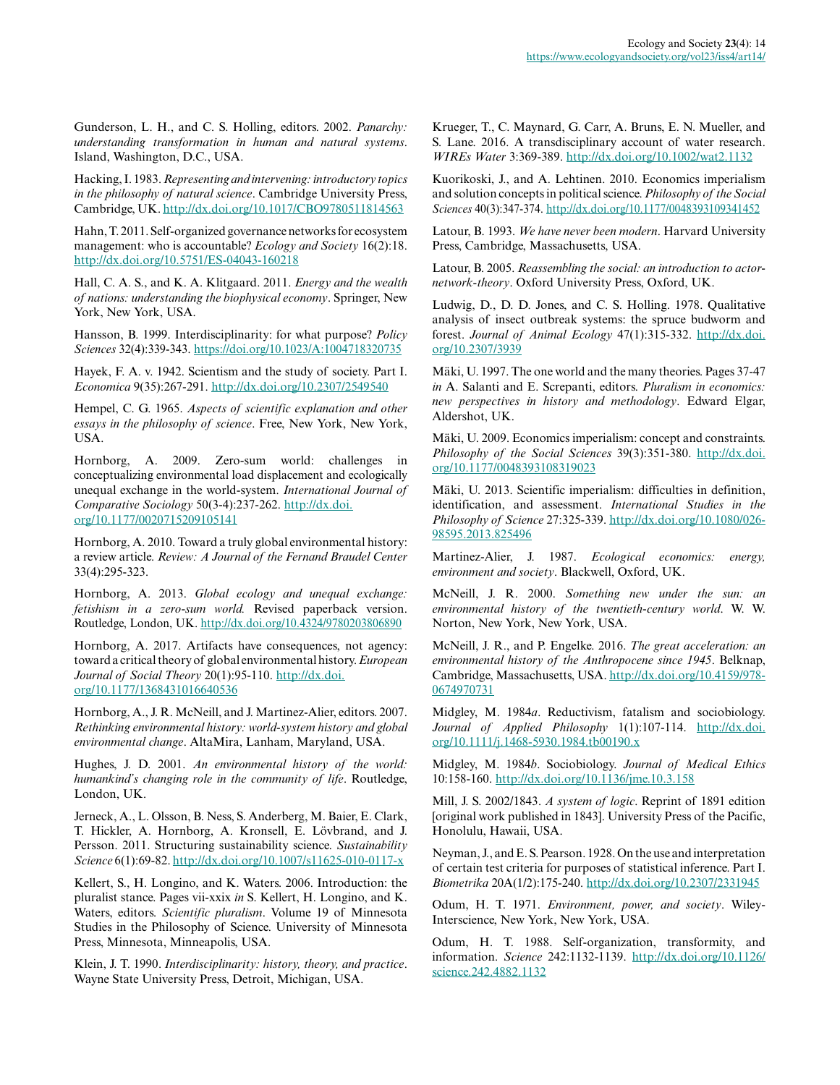Gunderson, L. H., and C. S. Holling, editors. 2002. *Panarchy: understanding transformation in human and natural systems*. Island, Washington, D.C., USA.

Hacking, I. 1983. *Representing and intervening: introductory topics in the philosophy of natural science*. Cambridge University Press, Cambridge, UK. [http://dx.doi.org/10.1017/CBO9780511814563](http://dx.doi.org/10.1017%2FCBO9780511814563)

Hahn, T. 2011. Self-organized governance networks for ecosystem management: who is accountable? *Ecology and Society* 16(2):18. [http://dx.doi.org/10.5751/ES-04043-160218](http://dx.doi.org/10.5751%2FES-04043-160218) 

Hall, C. A. S., and K. A. Klitgaard. 2011. *Energy and the wealth of nations: understanding the biophysical economy*. Springer, New York, New York, USA.

Hansson, B. 1999. Interdisciplinarity: for what purpose? *Policy Sciences* 32(4):339-343.<https://doi.org/10.1023/A:1004718320735>

Hayek, F. A. v. 1942. Scientism and the study of society. Part I. *Economica* 9(35):267-291. [http://dx.doi.org/10.2307/2549540](http://dx.doi.org/10.2307%2F2549540) 

Hempel, C. G. 1965. *Aspects of scientific explanation and other essays in the philosophy of science*. Free, New York, New York, USA.

Hornborg, A. 2009. Zero-sum world: challenges in conceptualizing environmental load displacement and ecologically unequal exchange in the world-system. *International Journal of Comparative Sociology* 50(3-4):237-262. [http://dx.doi.](http://dx.doi.org/10.1177%2F0020715209105141) [org/10.1177/0020715209105141](http://dx.doi.org/10.1177%2F0020715209105141)

Hornborg, A. 2010. Toward a truly global environmental history: a review article. *Review: A Journal of the Fernand Braudel Center* 33(4):295-323.

Hornborg, A. 2013. *Global ecology and unequal exchange: fetishism in a zero-sum world.* Revised paperback version. Routledge, London, UK. [http://dx.doi.org/10.4324/9780203806890](http://dx.doi.org/10.4324%2F9780203806890) 

Hornborg, A. 2017. Artifacts have consequences, not agency: toward a critical theory of global environmental history. *European Journal of Social Theory* 20(1):95-110. [http://dx.doi.](http://dx.doi.org/10.1177%2F1368431016640536) [org/10.1177/1368431016640536](http://dx.doi.org/10.1177%2F1368431016640536)

Hornborg, A., J. R. McNeill, and J. Martinez-Alier, editors. 2007. *Rethinking environmental history: world-system history and global environmental change*. AltaMira, Lanham, Maryland, USA.

Hughes, J. D. 2001. *An environmental history of the world: humankind's changing role in the community of life*. Routledge, London, UK.

Jerneck, A., L. Olsson, B. Ness, S. Anderberg, M. Baier, E. Clark, T. Hickler, A. Hornborg, A. Kronsell, E. Lövbrand, and J. Persson. 2011. Structuring sustainability science. *Sustainability Science* 6(1):69-82. [http://dx.doi.org/10.1007/s11625-010-0117-x](http://dx.doi.org/10.1007%2Fs11625-010-0117-x)

Kellert, S., H. Longino, and K. Waters. 2006. Introduction: the pluralist stance. Pages vii-xxix *in* S. Kellert, H. Longino, and K. Waters, editors. *Scientific pluralism*. Volume 19 of Minnesota Studies in the Philosophy of Science. University of Minnesota Press, Minnesota, Minneapolis, USA.

Klein, J. T. 1990. *Interdisciplinarity: history, theory, and practice*. Wayne State University Press, Detroit, Michigan, USA.

Krueger, T., C. Maynard, G. Carr, A. Bruns, E. N. Mueller, and S. Lane. 2016. A transdisciplinary account of water research. *WIREs Water* 3:369-389. [http://dx.doi.org/10.1002/wat2.1132](http://dx.doi.org/10.1002%2Fwat2.1132) 

Kuorikoski, J., and A. Lehtinen. 2010. Economics imperialism and solution concepts in political science. *Philosophy of the Social Sciences* 40(3):347-374. [http://dx.doi.org/10.1177/0048393109341452](http://dx.doi.org/10.1177%2F0048393109341452) 

Latour, B. 1993. *We have never been modern*. Harvard University Press, Cambridge, Massachusetts, USA.

Latour, B. 2005. *Reassembling the social: an introduction to actornetwork-theory*. Oxford University Press, Oxford, UK.

Ludwig, D., D. D. Jones, and C. S. Holling. 1978. Qualitative analysis of insect outbreak systems: the spruce budworm and forest. *Journal of Animal Ecology* 47(1):315-332. [http://dx.doi.](http://dx.doi.org/10.2307%2F3939) [org/10.2307/3939](http://dx.doi.org/10.2307%2F3939)

Mäki, U. 1997. The one world and the many theories. Pages 37-47 *in* A. Salanti and E. Screpanti, editors. *Pluralism in economics: new perspectives in history and methodology*. Edward Elgar, Aldershot, UK.

Mäki, U. 2009. Economics imperialism: concept and constraints. *Philosophy of the Social Sciences* 39(3):351-380. [http://dx.doi.](http://dx.doi.org/10.1177%2F0048393108319023) [org/10.1177/0048393108319023](http://dx.doi.org/10.1177%2F0048393108319023)

Mäki, U. 2013. Scientific imperialism: difficulties in definition, identification, and assessment. *International Studies in the Philosophy of Science* 27:325-339. [http://dx.doi.org/10.1080/026](http://dx.doi.org/10.1080%2F02698595.2013.825496) [98595.2013.825496](http://dx.doi.org/10.1080%2F02698595.2013.825496)

Martinez-Alier, J. 1987. *Ecological economics: energy, environment and society*. Blackwell, Oxford, UK.

McNeill, J. R. 2000. *Something new under the sun: an environmental history of the twentieth-century world*. W. W. Norton, New York, New York, USA.

McNeill, J. R., and P. Engelke. 2016. *The great acceleration: an environmental history of the Anthropocene since 1945*. Belknap, Cambridge, Massachusetts, USA. [http://dx.doi.org/10.4159/978](http://dx.doi.org/10.4159%2F9780674970731) [0674970731](http://dx.doi.org/10.4159%2F9780674970731)

Midgley, M. 1984*a*. Reductivism, fatalism and sociobiology. Journal of Applied Philosophy 1(1):107-114. [http://dx.doi.](http://dx.doi.org/10.1111%2Fj.1468-5930.1984.tb00190.x) [org/10.1111/j.1468-5930.1984.tb00190.x](http://dx.doi.org/10.1111%2Fj.1468-5930.1984.tb00190.x)

Midgley, M. 1984*b*. Sociobiology. *Journal of Medical Ethics* 10:158-160. [http://dx.doi.org/10.1136/jme.10.3.158](http://dx.doi.org/10.1136%2Fjme.10.3.158)

Mill, J. S. 2002/1843. *A system of logic*. Reprint of 1891 edition [original work published in 1843]. University Press of the Pacific, Honolulu, Hawaii, USA.

Neyman, J., and E. S. Pearson. 1928. On the use and interpretation of certain test criteria for purposes of statistical inference. Part I. *Biometrika* 20A(1/2):175-240. [http://dx.doi.org/10.2307/2331945](http://dx.doi.org/10.2307%2F2331945) 

Odum, H. T. 1971. *Environment, power, and society*. Wiley-Interscience, New York, New York, USA.

Odum, H. T. 1988. Self-organization, transformity, and information. *Science* 242:1132-1139. [http://dx.doi.org/10.1126/](http://dx.doi.org/10.1126%2Fscience.242.4882.1132) [science.242.4882.1132](http://dx.doi.org/10.1126%2Fscience.242.4882.1132)